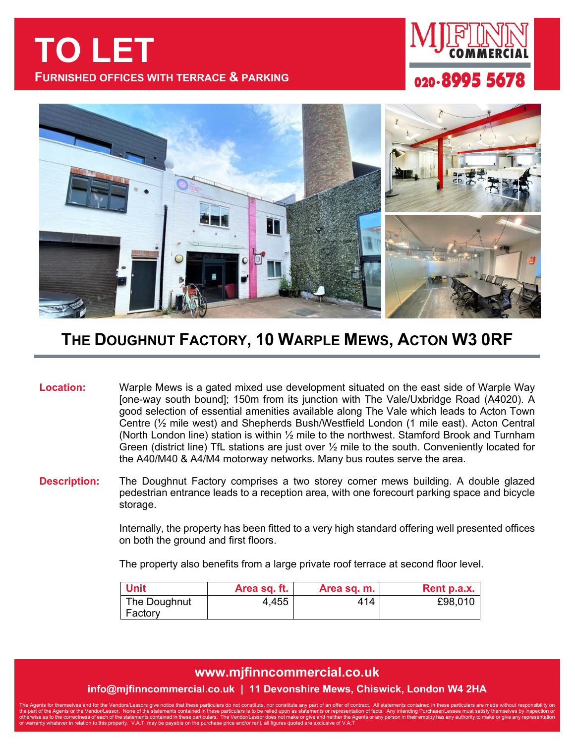**TO LET FURNISHED OFFICES WITH TERRACE & PARKING**





## **THE DOUGHNUT FACTORY, 10 WARPLE MEWS, ACTON W3 0RF**

**Location:** Warple Mews is a gated mixed use development situated on the east side of Warple Way [one-way south bound]; 150m from its junction with The Vale/Uxbridge Road (A4020). A good selection of essential amenities available along The Vale which leads to Acton Town Centre (½ mile west) and Shepherds Bush/Westfield London (1 mile east). Acton Central (North London line) station is within ½ mile to the northwest. Stamford Brook and Turnham Green (district line) TfL stations are just over ½ mile to the south. Conveniently located for the A40/M40 & A4/M4 motorway networks. Many bus routes serve the area.

**Description:** The Doughnut Factory comprises a two storey corner mews building. A double glazed pedestrian entrance leads to a reception area, with one forecourt parking space and bicycle storage.

> Internally, the property has been fitted to a very high standard offering well presented offices on both the ground and first floors.

The property also benefits from a large private roof terrace at second floor level.

| <b>Unit</b>  | Area sq. ft. | Area sq. m. | Rent p.a.x. |
|--------------|--------------|-------------|-------------|
| The Doughnut | 4,455        | 414         | £98,010     |
| Factory      |              |             |             |

## **www.mjfinncommercial.co.uk**

## **info@mjfinncommercial.co.uk | 11 Devonshire Mews, Chiswick, London W4 2HA**

The Agents for themselves and for the Vendors/Lessors give notice that these particulars do not constitute, nor constitute any part of an offer of contract. All statements contained in these particulars are made without re the part of the Agents or the Vendor/Lessor. None of the statements contained in these particulars is to be relied upon as statements or representation of facts. Any intending Purchaser/Lessee must satisfy themselves by in otherwise as to the correctness of each of the statements contained in these particulars. The Vendor/Lessor does not make or give and neither the Agents or any person in their employ has any authority to make or give any r or warranty whatever in relation to this property. V.A.T. may be payable on the purchase price and/or rent, all figures quoted are exclusive of V.A.T